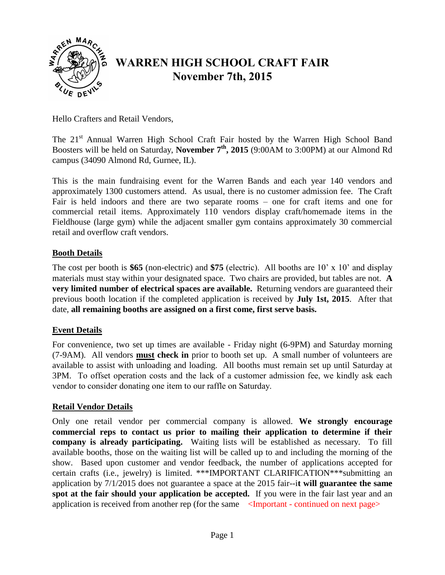

# **WARREN HIGH SCHOOL CRAFT FAIR November 7th, 2015**

Hello Crafters and Retail Vendors,

The 21<sup>st</sup> Annual Warren High School Craft Fair hosted by the Warren High School Band Boosters will be held on Saturday, **November 7 th , 2015** (9:00AM to 3:00PM) at our Almond Rd campus (34090 Almond Rd, Gurnee, IL).

This is the main fundraising event for the Warren Bands and each year 140 vendors and approximately 1300 customers attend. As usual, there is no customer admission fee. The Craft Fair is held indoors and there are two separate rooms – one for craft items and one for commercial retail items. Approximately 110 vendors display craft/homemade items in the Fieldhouse (large gym) while the adjacent smaller gym contains approximately 30 commercial retail and overflow craft vendors.

## **Booth Details**

The cost per booth is **\$65** (non-electric) and **\$75** (electric). All booths are 10' x 10' and display materials must stay within your designated space. Two chairs are provided, but tables are not. **A very limited number of electrical spaces are available.** Returning vendors are guaranteed their previous booth location if the completed application is received by **July 1st, 2015**. After that date, **all remaining booths are assigned on a first come, first serve basis.**

## **Event Details**

For convenience, two set up times are available - Friday night (6-9PM) and Saturday morning (7-9AM). All vendors **must check in** prior to booth set up. A small number of volunteers are available to assist with unloading and loading. All booths must remain set up until Saturday at 3PM. To offset operation costs and the lack of a customer admission fee, we kindly ask each vendor to consider donating one item to our raffle on Saturday.

## **Retail Vendor Details**

Only one retail vendor per commercial company is allowed. **We strongly encourage commercial reps to contact us prior to mailing their application to determine if their company is already participating.** Waiting lists will be established as necessary. To fill available booths, those on the waiting list will be called up to and including the morning of the show. Based upon customer and vendor feedback, the number of applications accepted for certain crafts (i.e., jewelry) is limited. \*\*\*IMPORTANT CLARIFICATION\*\*\*submitting an application by 7/1/2015 does not guarantee a space at the 2015 fair--i**t will guarantee the same spot at the fair should your application be accepted.** If you were in the fair last year and an application is received from another rep (for the same <Important - continued on next page>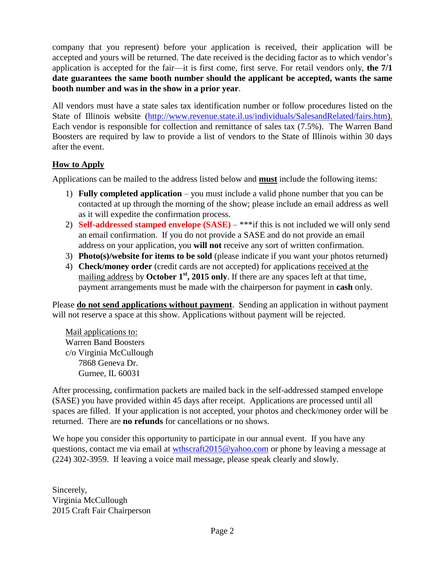company that you represent) before your application is received, their application will be accepted and yours will be returned. The date received is the deciding factor as to which vendor's application is accepted for the fair—it is first come, first serve. For retail vendors only, **the 7/1 date guarantees the same booth number should the applicant be accepted, wants the same booth number and was in the show in a prior year**.

All vendors must have a state sales tax identification number or follow procedures listed on the State of Illinois website [\(http://www.revenue.state.il.us/individuals/SalesandRelated/fairs.htm\)](http://www.revenue.state.il.us/individuals/SalesandRelated/fairs.htm). Each vendor is responsible for collection and remittance of sales tax (7.5%). The Warren Band Boosters are required by law to provide a list of vendors to the State of Illinois within 30 days after the event.

## **How to Apply**

Applications can be mailed to the address listed below and **must** include the following items:

- 1) **Fully completed application** you must include a valid phone number that you can be contacted at up through the morning of the show; please include an email address as well as it will expedite the confirmation process.
- 2) **Self-addressed stamped envelope (SASE)** \*\*\*if this is not included we will only send an email confirmation. If you do not provide a SASE and do not provide an email address on your application, you **will not** receive any sort of written confirmation.
- 3) **Photo(s)/website for items to be sold** (please indicate if you want your photos returned)
- 4) **Check/money order** (credit cards are not accepted) for applications received at the mailing address by **October 1<sup>st</sup>**, **2015 only**. If there are any spaces left at that time, payment arrangements must be made with the chairperson for payment in **cash** only.

Please **do not send applications without payment**. Sending an application in without payment will not reserve a space at this show. Applications without payment will be rejected.

Mail applications to: Warren Band Boosters c/o Virginia McCullough 7868 Geneva Dr. Gurnee, IL 60031

After processing, confirmation packets are mailed back in the self-addressed stamped envelope (SASE) you have provided within 45 days after receipt. Applications are processed until all spaces are filled. If your application is not accepted, your photos and check/money order will be returned. There are **no refunds** for cancellations or no shows.

We hope you consider this opportunity to participate in our annual event. If you have any questions, contact me via email at [wthscraft2015@yahoo.com](mailto:wthscraft2015@yahoo.com) or phone by leaving a message at (224) 302-3959. If leaving a voice mail message, please speak clearly and slowly.

Sincerely, Virginia McCullough 2015 Craft Fair Chairperson